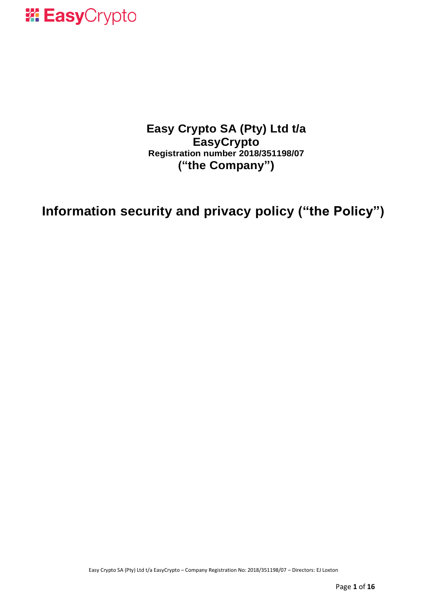

### **Easy Crypto SA (Pty) Ltd t/a EasyCrypto Registration number 2018/351198/07 ("the Company")**

### **Information security and privacy policy ("the Policy")**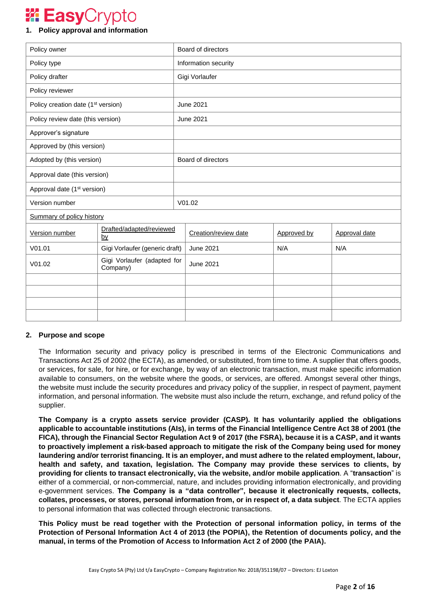### **Easy**Crypto

### **1. Policy approval and information**

| Policy owner                                   |                                         | Board of directors   |                      |             |               |
|------------------------------------------------|-----------------------------------------|----------------------|----------------------|-------------|---------------|
| Policy type                                    |                                         | Information security |                      |             |               |
| Policy drafter                                 |                                         | Gigi Vorlaufer       |                      |             |               |
| Policy reviewer                                |                                         |                      |                      |             |               |
| Policy creation date (1 <sup>st</sup> version) |                                         | <b>June 2021</b>     |                      |             |               |
| Policy review date (this version)              |                                         | <b>June 2021</b>     |                      |             |               |
| Approver's signature                           |                                         |                      |                      |             |               |
| Approved by (this version)                     |                                         |                      |                      |             |               |
| Adopted by (this version)                      |                                         | Board of directors   |                      |             |               |
| Approval date (this version)                   |                                         |                      |                      |             |               |
| Approval date (1 <sup>st</sup> version)        |                                         |                      |                      |             |               |
| Version number                                 |                                         | V01.02               |                      |             |               |
| <b>Summary of policy history</b>               |                                         |                      |                      |             |               |
| Version number                                 | Drafted/adapted/reviewed<br><u>by</u>   |                      | Creation/review date | Approved by | Approval date |
| V01.01                                         | Gigi Vorlaufer (generic draft)          |                      | <b>June 2021</b>     | N/A         | N/A           |
| V01.02                                         | Gigi Vorlaufer (adapted for<br>Company) |                      | <b>June 2021</b>     |             |               |
|                                                |                                         |                      |                      |             |               |
|                                                |                                         |                      |                      |             |               |
|                                                |                                         |                      |                      |             |               |
|                                                |                                         |                      |                      |             |               |

### **2. Purpose and scope**

The Information security and privacy policy is prescribed in terms of the Electronic Communications and Transactions Act 25 of 2002 (the ECTA), as amended, or substituted, from time to time. A supplier that offers goods, or services, for sale, for hire, or for exchange, by way of an electronic transaction, must make specific information available to consumers, on the website where the goods, or services, are offered. Amongst several other things, the website must include the security procedures and privacy policy of the supplier, in respect of payment, payment information, and personal information. The website must also include the return, exchange, and refund policy of the supplier.

**The Company is a crypto assets service provider (CASP). It has voluntarily applied the obligations applicable to accountable institutions (AIs), in terms of the Financial Intelligence Centre Act 38 of 2001 (the FICA), through the Financial Sector Regulation Act 9 of 2017 (the FSRA), because it is a CASP, and it wants to proactively implement a risk-based approach to mitigate the risk of the Company being used for money laundering and/or terrorist financing. It is an employer, and must adhere to the related employment, labour, health and safety, and taxation, legislation. The Company may provide these services to clients, by providing for clients to transact electronically, via the website, and/or mobile application**. A "**transaction**" is either of a commercial, or non-commercial, nature, and includes providing information electronically, and providing e-government services. **The Company is a "data controller", because it electronically requests, collects, collates, processes, or stores, personal information from, or in respect of, a data subject**. The ECTA applies to personal information that was collected through electronic transactions.

**This Policy must be read together with the Protection of personal information policy, in terms of the Protection of Personal Information Act 4 of 2013 (the POPIA), the Retention of documents policy, and the manual, in terms of the Promotion of Access to Information Act 2 of 2000 (the PAIA).**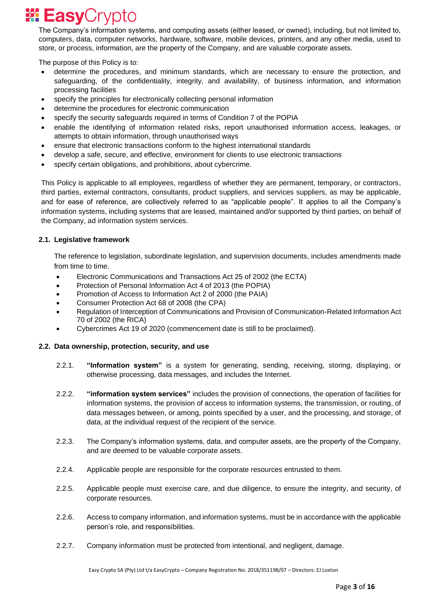The Company's information systems, and computing assets (either leased, or owned), including, but not limited to, computers, data, computer networks, hardware, software, mobile devices, printers, and any other media, used to store, or process, information, are the property of the Company, and are valuable corporate assets.

The purpose of this Policy is to:

- determine the procedures, and minimum standards, which are necessary to ensure the protection, and safeguarding, of the confidentiality, integrity, and availability, of business information, and information processing facilities
- specify the principles for electronically collecting personal information
- determine the procedures for electronic communication
- specify the security safeguards required in terms of Condition 7 of the POPIA
- enable the identifying of information related risks, report unauthorised information access, leakages, or attempts to obtain information, through unauthorised ways
- ensure that electronic transactions conform to the highest international standards
- develop a safe, secure, and effective, environment for clients to use electronic transactions
- specify certain obligations, and prohibitions, about cybercrime.

This Policy is applicable to all employees, regardless of whether they are permanent, temporary, or contractors, third parties, external contractors, consultants, product suppliers, and services suppliers, as may be applicable, and for ease of reference, are collectively referred to as "applicable people". It applies to all the Company's information systems, including systems that are leased, maintained and/or supported by third parties, on behalf of the Company, ad information system services.

### **2.1. Legislative framework**

The reference to legislation, subordinate legislation, and supervision documents, includes amendments made from time to time.

- Electronic Communications and Transactions Act 25 of 2002 (the ECTA)
- Protection of Personal Information Act 4 of 2013 (the POPIA)
- Promotion of Access to Information Act 2 of 2000 (the PAIA)
- Consumer Protection Act 68 of 2008 (the CPA)
- Regulation of Interception of Communications and Provision of Communication-Related Information Act 70 of 2002 (the RICA)
- Cybercrimes Act 19 of 2020 (commencement date is still to be proclaimed).

### **2.2. Data ownership, protection, security, and use**

- 2.2.1. **"Information system"** is a system for generating, sending, receiving, storing, displaying, or otherwise processing, data messages, and includes the Internet.
- 2.2.2. **"information system services"** includes the provision of connections, the operation of facilities for information systems, the provision of access to information systems, the transmission, or routing, of data messages between, or among, points specified by a user, and the processing, and storage, of data, at the individual request of the recipient of the service.
- 2.2.3. The Company's information systems, data, and computer assets, are the property of the Company, and are deemed to be valuable corporate assets.
- 2.2.4. Applicable people are responsible for the corporate resources entrusted to them.
- 2.2.5. Applicable people must exercise care, and due diligence, to ensure the integrity, and security, of corporate resources.
- 2.2.6. Access to company information, and information systems, must be in accordance with the applicable person's role, and responsibilities.
- 2.2.7. Company information must be protected from intentional, and negligent, damage.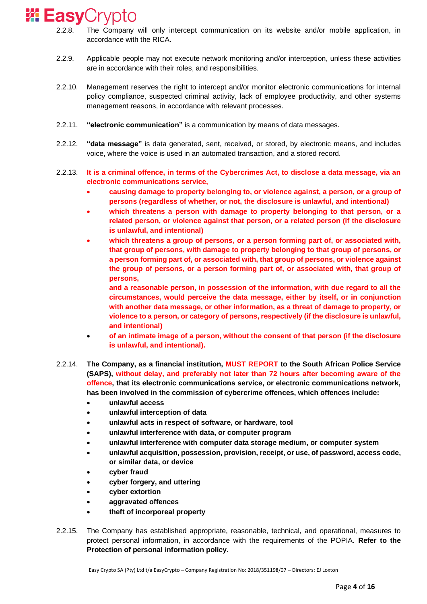- 2.2.8. The Company will only intercept communication on its website and/or mobile application, in accordance with the RICA.
- 2.2.9. Applicable people may not execute network monitoring and/or interception, unless these activities are in accordance with their roles, and responsibilities.
- 2.2.10. Management reserves the right to intercept and/or monitor electronic communications for internal policy compliance, suspected criminal activity, lack of employee productivity, and other systems management reasons, in accordance with relevant processes.
- 2.2.11. **"electronic communication"** is a communication by means of data messages.
- 2.2.12. **"data message"** is data generated, sent, received, or stored, by electronic means, and includes voice, where the voice is used in an automated transaction, and a stored record.
- 2.2.13. **It is a criminal offence, in terms of the Cybercrimes Act, to disclose a data message, via an electronic communications service,**
	- **causing damage to property belonging to, or violence against, a person, or a group of persons (regardless of whether, or not, the disclosure is unlawful, and intentional)**
	- **which threatens a person with damage to property belonging to that person, or a related person, or violence against that person, or a related person (if the disclosure is unlawful, and intentional)**
	- **which threatens a group of persons, or a person forming part of, or associated with, that group of persons, with damage to property belonging to that group of persons, or a person forming part of, or associated with, that group of persons, or violence against the group of persons, or a person forming part of, or associated with, that group of persons,**
		- **and a reasonable person, in possession of the information, with due regard to all the circumstances, would perceive the data message, either by itself, or in conjunction with another data message, or other information, as a threat of damage to property, or violence to a person, or category of persons, respectively (if the disclosure is unlawful, and intentional)**
	- **of an intimate image of a person, without the consent of that person (if the disclosure is unlawful, and intentional).**
- 2.2.14. **The Company, as a financial institution, MUST REPORT to the South African Police Service (SAPS), without delay, and preferably not later than 72 hours after becoming aware of the offence, that its electronic communications service, or electronic communications network, has been involved in the commission of cybercrime offences, which offences include:**
	- **unlawful access**
	- **unlawful interception of data**
	- **unlawful acts in respect of software, or hardware, tool**
	- **unlawful interference with data, or computer program**
	- **unlawful interference with computer data storage medium, or computer system**
	- **unlawful acquisition, possession, provision, receipt, or use, of password, access code, or similar data, or device**
	- **cyber fraud**
	- **cyber forgery, and uttering**
	- **cyber extortion**
	- **aggravated offences**
	- **theft of incorporeal property**
- 2.2.15. The Company has established appropriate, reasonable, technical, and operational, measures to protect personal information, in accordance with the requirements of the POPIA. **Refer to the Protection of personal information policy.**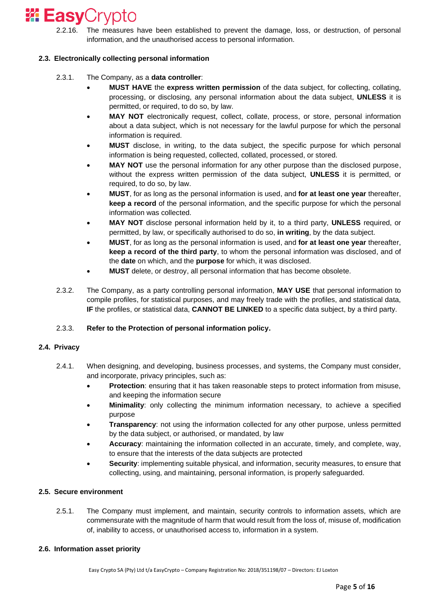### **<sup>2</sup> Easy**Crypto

2.2.16. The measures have been established to prevent the damage, loss, or destruction, of personal information, and the unauthorised access to personal information.

### **2.3. Electronically collecting personal information**

- 2.3.1. The Company, as a **data controller**:
	- **MUST HAVE** the **express written permission** of the data subject, for collecting, collating, processing, or disclosing, any personal information about the data subject, **UNLESS** it is permitted, or required, to do so, by law.
	- **MAY NOT** electronically request, collect, collate, process, or store, personal information about a data subject, which is not necessary for the lawful purpose for which the personal information is required.
	- **MUST** disclose, in writing, to the data subject, the specific purpose for which personal information is being requested, collected, collated, processed, or stored.
	- **MAY NOT** use the personal information for any other purpose than the disclosed purpose, without the express written permission of the data subject, **UNLESS** it is permitted, or required, to do so, by law.
	- **MUST**, for as long as the personal information is used, and **for at least one year** thereafter, **keep a record** of the personal information, and the specific purpose for which the personal information was collected.
	- **MAY NOT** disclose personal information held by it, to a third party, **UNLESS** required, or permitted, by law, or specifically authorised to do so, **in writing**, by the data subject.
	- **MUST**, for as long as the personal information is used, and **for at least one year** thereafter, **keep a record of the third party**, to whom the personal information was disclosed, and of the **date** on which, and the **purpose** for which, it was disclosed.
	- **MUST** delete, or destroy, all personal information that has become obsolete.
- 2.3.2. The Company, as a party controlling personal information, **MAY USE** that personal information to compile profiles, for statistical purposes, and may freely trade with the profiles, and statistical data, **IF** the profiles, or statistical data, **CANNOT BE LINKED** to a specific data subject, by a third party.

### 2.3.3. **Refer to the Protection of personal information policy.**

### **2.4. Privacy**

- 2.4.1. When designing, and developing, business processes, and systems, the Company must consider, and incorporate, privacy principles, such as:
	- **Protection**: ensuring that it has taken reasonable steps to protect information from misuse, and keeping the information secure
	- **Minimality**: only collecting the minimum information necessary, to achieve a specified purpose
	- **Transparency:** not using the information collected for any other purpose, unless permitted by the data subject, or authorised, or mandated, by law
	- **Accuracy**: maintaining the information collected in an accurate, timely, and complete, way, to ensure that the interests of the data subjects are protected
	- **Security**: implementing suitable physical, and information, security measures, to ensure that collecting, using, and maintaining, personal information, is properly safeguarded.

### **2.5. Secure environment**

2.5.1. The Company must implement, and maintain, security controls to information assets, which are commensurate with the magnitude of harm that would result from the loss of, misuse of, modification of, inability to access, or unauthorised access to, information in a system.

### **2.6. Information asset priority**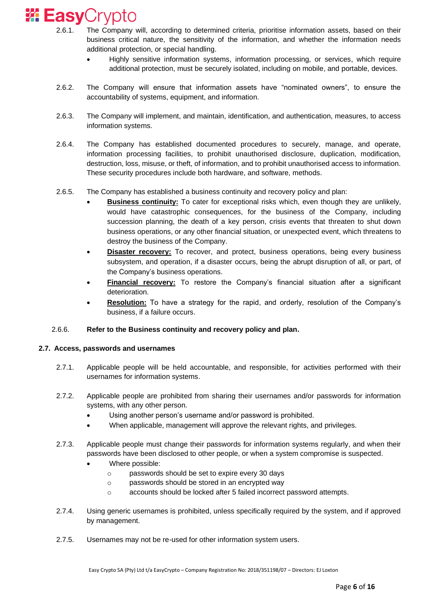- 2.6.1. The Company will, according to determined criteria, prioritise information assets, based on their business critical nature, the sensitivity of the information, and whether the information needs additional protection, or special handling.
	- Highly sensitive information systems, information processing, or services, which require additional protection, must be securely isolated, including on mobile, and portable, devices.
- 2.6.2. The Company will ensure that information assets have "nominated owners", to ensure the accountability of systems, equipment, and information.
- 2.6.3. The Company will implement, and maintain, identification, and authentication, measures, to access information systems.
- 2.6.4. The Company has established documented procedures to securely, manage, and operate, information processing facilities, to prohibit unauthorised disclosure, duplication, modification, destruction, loss, misuse, or theft, of information, and to prohibit unauthorised access to information. These security procedures include both hardware, and software, methods.
- 2.6.5. The Company has established a business continuity and recovery policy and plan:
	- **Business continuity:** To cater for exceptional risks which, even though they are unlikely, would have catastrophic consequences, for the business of the Company, including succession planning, the death of a key person, crisis events that threaten to shut down business operations, or any other financial situation, or unexpected event, which threatens to destroy the business of the Company.
	- **Disaster recovery:** To recover, and protect, business operations, being every business subsystem, and operation, if a disaster occurs, being the abrupt disruption of all, or part, of the Company's business operations.
	- **Financial recovery:** To restore the Company's financial situation after a significant deterioration.
	- **Resolution:** To have a strategy for the rapid, and orderly, resolution of the Company's business, if a failure occurs.

### 2.6.6. **Refer to the Business continuity and recovery policy and plan.**

### **2.7. Access, passwords and usernames**

- 2.7.1. Applicable people will be held accountable, and responsible, for activities performed with their usernames for information systems.
- 2.7.2. Applicable people are prohibited from sharing their usernames and/or passwords for information systems, with any other person.
	- Using another person's username and/or password is prohibited.
	- When applicable, management will approve the relevant rights, and privileges.
- 2.7.3. Applicable people must change their passwords for information systems regularly, and when their passwords have been disclosed to other people, or when a system compromise is suspected.
	- Where possible:
		- o passwords should be set to expire every 30 days
		- o passwords should be stored in an encrypted way
		- o accounts should be locked after 5 failed incorrect password attempts.
- 2.7.4. Using generic usernames is prohibited, unless specifically required by the system, and if approved by management.
- 2.7.5. Usernames may not be re-used for other information system users.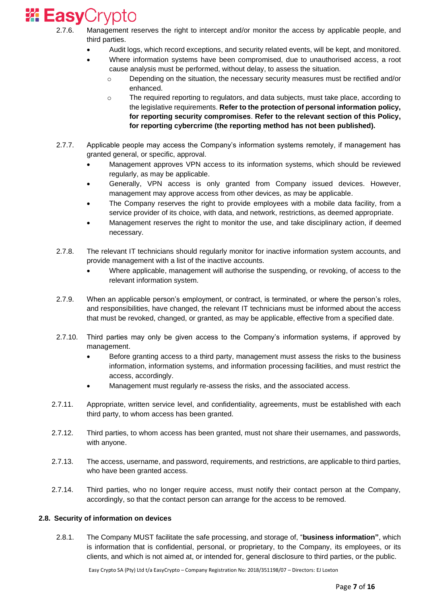- 2.7.6. Management reserves the right to intercept and/or monitor the access by applicable people, and third parties.
	- Audit logs, which record exceptions, and security related events, will be kept, and monitored.
	- Where information systems have been compromised, due to unauthorised access, a root cause analysis must be performed, without delay, to assess the situation.
		- o Depending on the situation, the necessary security measures must be rectified and/or enhanced.
		- o The required reporting to regulators, and data subjects, must take place, according to the legislative requirements. **Refer to the protection of personal information policy, for reporting security compromises**. **Refer to the relevant section of this Policy, for reporting cybercrime (the reporting method has not been published).**
- 2.7.7. Applicable people may access the Company's information systems remotely, if management has granted general, or specific, approval.
	- Management approves VPN access to its information systems, which should be reviewed regularly, as may be applicable.
	- Generally, VPN access is only granted from Company issued devices. However, management may approve access from other devices, as may be applicable.
	- The Company reserves the right to provide employees with a mobile data facility, from a service provider of its choice, with data, and network, restrictions, as deemed appropriate.
	- Management reserves the right to monitor the use, and take disciplinary action, if deemed necessary.
- 2.7.8. The relevant IT technicians should regularly monitor for inactive information system accounts, and provide management with a list of the inactive accounts.
	- Where applicable, management will authorise the suspending, or revoking, of access to the relevant information system.
- 2.7.9. When an applicable person's employment, or contract, is terminated, or where the person's roles, and responsibilities, have changed, the relevant IT technicians must be informed about the access that must be revoked, changed, or granted, as may be applicable, effective from a specified date.
- 2.7.10. Third parties may only be given access to the Company's information systems, if approved by management.
	- Before granting access to a third party, management must assess the risks to the business information, information systems, and information processing facilities, and must restrict the access, accordingly.
	- Management must regularly re-assess the risks, and the associated access.
- 2.7.11. Appropriate, written service level, and confidentiality, agreements, must be established with each third party, to whom access has been granted.
- 2.7.12. Third parties, to whom access has been granted, must not share their usernames, and passwords, with anyone.
- 2.7.13. The access, username, and password, requirements, and restrictions, are applicable to third parties, who have been granted access.
- 2.7.14. Third parties, who no longer require access, must notify their contact person at the Company, accordingly, so that the contact person can arrange for the access to be removed.

### **2.8. Security of information on devices**

2.8.1. The Company MUST facilitate the safe processing, and storage of, "**business information"**, which is information that is confidential, personal, or proprietary, to the Company, its employees, or its clients, and which is not aimed at, or intended for, general disclosure to third parties, or the public.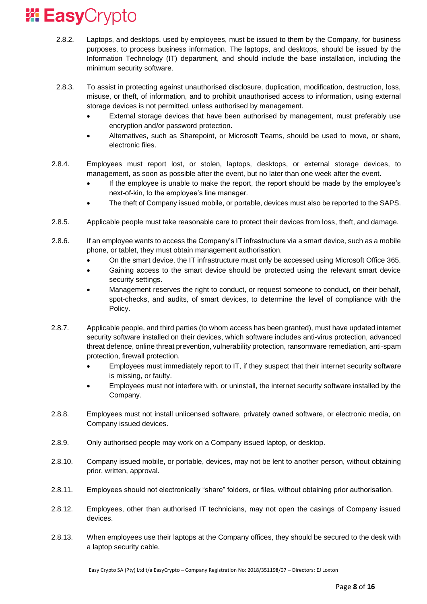- 2.8.2. Laptops, and desktops, used by employees, must be issued to them by the Company, for business purposes, to process business information. The laptops, and desktops, should be issued by the Information Technology (IT) department, and should include the base installation, including the minimum security software.
- 2.8.3. To assist in protecting against unauthorised disclosure, duplication, modification, destruction, loss, misuse, or theft, of information, and to prohibit unauthorised access to information, using external storage devices is not permitted, unless authorised by management.
	- External storage devices that have been authorised by management, must preferably use encryption and/or password protection.
	- Alternatives, such as Sharepoint, or Microsoft Teams, should be used to move, or share, electronic files.
- 2.8.4. Employees must report lost, or stolen, laptops, desktops, or external storage devices, to management, as soon as possible after the event, but no later than one week after the event.
	- If the employee is unable to make the report, the report should be made by the employee's next-of-kin, to the employee's line manager.
	- The theft of Company issued mobile, or portable, devices must also be reported to the SAPS.
- 2.8.5. Applicable people must take reasonable care to protect their devices from loss, theft, and damage.
- 2.8.6. If an employee wants to access the Company's IT infrastructure via a smart device, such as a mobile phone, or tablet, they must obtain management authorisation.
	- On the smart device, the IT infrastructure must only be accessed using Microsoft Office 365.
	- Gaining access to the smart device should be protected using the relevant smart device security settings.
	- Management reserves the right to conduct, or request someone to conduct, on their behalf, spot-checks, and audits, of smart devices, to determine the level of compliance with the Policy.
- 2.8.7. Applicable people, and third parties (to whom access has been granted), must have updated internet security software installed on their devices, which software includes anti-virus protection, advanced threat defence, online threat prevention, vulnerability protection, ransomware remediation, anti-spam protection, firewall protection.
	- Employees must immediately report to IT, if they suspect that their internet security software is missing, or faulty.
	- Employees must not interfere with, or uninstall, the internet security software installed by the Company.
- 2.8.8. Employees must not install unlicensed software, privately owned software, or electronic media, on Company issued devices.
- 2.8.9. Only authorised people may work on a Company issued laptop, or desktop.
- 2.8.10. Company issued mobile, or portable, devices, may not be lent to another person, without obtaining prior, written, approval.
- 2.8.11. Employees should not electronically "share" folders, or files, without obtaining prior authorisation.
- 2.8.12. Employees, other than authorised IT technicians, may not open the casings of Company issued devices.
- 2.8.13. When employees use their laptops at the Company offices, they should be secured to the desk with a laptop security cable.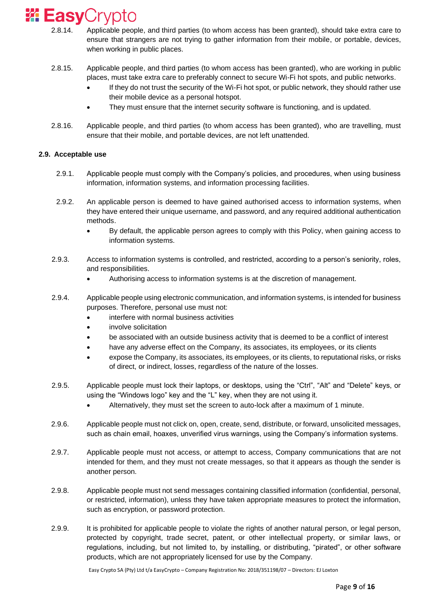### **24 Easy**Crypto

- 2.8.14. Applicable people, and third parties (to whom access has been granted), should take extra care to ensure that strangers are not trying to gather information from their mobile, or portable, devices, when working in public places.
- 2.8.15. Applicable people, and third parties (to whom access has been granted), who are working in public places, must take extra care to preferably connect to secure Wi-Fi hot spots, and public networks.
	- If they do not trust the security of the Wi-Fi hot spot, or public network, they should rather use their mobile device as a personal hotspot.
	- They must ensure that the internet security software is functioning, and is updated.
- 2.8.16. Applicable people, and third parties (to whom access has been granted), who are travelling, must ensure that their mobile, and portable devices, are not left unattended.

### **2.9. Acceptable use**

- 2.9.1. Applicable people must comply with the Company's policies, and procedures, when using business information, information systems, and information processing facilities.
- 2.9.2. An applicable person is deemed to have gained authorised access to information systems, when they have entered their unique username, and password, and any required additional authentication methods.
	- By default, the applicable person agrees to comply with this Policy, when gaining access to information systems.
- 2.9.3. Access to information systems is controlled, and restricted, according to a person's seniority, roles, and responsibilities.
	- Authorising access to information systems is at the discretion of management.
- 2.9.4. Applicable people using electronic communication, and information systems, is intended for business purposes. Therefore, personal use must not:
	- interfere with normal business activities
	- involve solicitation
	- be associated with an outside business activity that is deemed to be a conflict of interest
	- have any adverse effect on the Company, its associates, its employees, or its clients
	- expose the Company, its associates, its employees, or its clients, to reputational risks, or risks of direct, or indirect, losses, regardless of the nature of the losses.
- 2.9.5. Applicable people must lock their laptops, or desktops, using the "Ctrl", "Alt" and "Delete" keys, or using the "Windows logo" key and the "L" key, when they are not using it.
	- Alternatively, they must set the screen to auto-lock after a maximum of 1 minute.
- 2.9.6. Applicable people must not click on, open, create, send, distribute, or forward, unsolicited messages, such as chain email, hoaxes, unverified virus warnings, using the Company's information systems.
- 2.9.7. Applicable people must not access, or attempt to access, Company communications that are not intended for them, and they must not create messages, so that it appears as though the sender is another person.
- 2.9.8. Applicable people must not send messages containing classified information (confidential, personal, or restricted, information), unless they have taken appropriate measures to protect the information, such as encryption, or password protection.
- 2.9.9. It is prohibited for applicable people to violate the rights of another natural person, or legal person, protected by copyright, trade secret, patent, or other intellectual property, or similar laws, or regulations, including, but not limited to, by installing, or distributing, "pirated", or other software products, which are not appropriately licensed for use by the Company.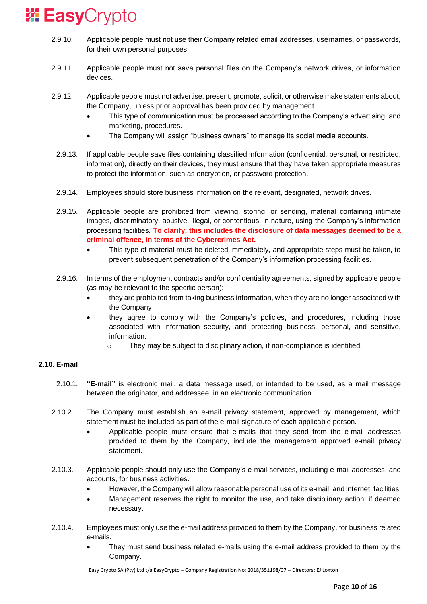- 2.9.10. Applicable people must not use their Company related email addresses, usernames, or passwords, for their own personal purposes.
- 2.9.11. Applicable people must not save personal files on the Company's network drives, or information devices.
- 2.9.12. Applicable people must not advertise, present, promote, solicit, or otherwise make statements about, the Company, unless prior approval has been provided by management.
	- This type of communication must be processed according to the Company's advertising, and marketing, procedures.
	- The Company will assign "business owners" to manage its social media accounts.
	- 2.9.13. If applicable people save files containing classified information (confidential, personal, or restricted, information), directly on their devices, they must ensure that they have taken appropriate measures to protect the information, such as encryption, or password protection.
	- 2.9.14. Employees should store business information on the relevant, designated, network drives.
	- 2.9.15. Applicable people are prohibited from viewing, storing, or sending, material containing intimate images, discriminatory, abusive, illegal, or contentious, in nature, using the Company's information processing facilities. **To clarify, this includes the disclosure of data messages deemed to be a criminal offence, in terms of the Cybercrimes Act.**
		- This type of material must be deleted immediately, and appropriate steps must be taken, to prevent subsequent penetration of the Company's information processing facilities.
	- 2.9.16. In terms of the employment contracts and/or confidentiality agreements, signed by applicable people (as may be relevant to the specific person):
		- they are prohibited from taking business information, when they are no longer associated with the Company
		- they agree to comply with the Company's policies, and procedures, including those associated with information security, and protecting business, personal, and sensitive, information.
			- o They may be subject to disciplinary action, if non-compliance is identified.

### **2.10. E-mail**

- 2.10.1. **"E-mail"** is electronic mail, a data message used, or intended to be used, as a mail message between the originator, and addressee, in an electronic communication.
- 2.10.2. The Company must establish an e-mail privacy statement, approved by management, which statement must be included as part of the e-mail signature of each applicable person.
	- Applicable people must ensure that e-mails that they send from the e-mail addresses provided to them by the Company, include the management approved e-mail privacy statement.
- 2.10.3. Applicable people should only use the Company's e-mail services, including e-mail addresses, and accounts, for business activities.
	- However, the Company will allow reasonable personal use of its e-mail, and internet, facilities.
	- Management reserves the right to monitor the use, and take disciplinary action, if deemed necessary.
- 2.10.4. Employees must only use the e-mail address provided to them by the Company, for business related e-mails.
	- They must send business related e-mails using the e-mail address provided to them by the Company.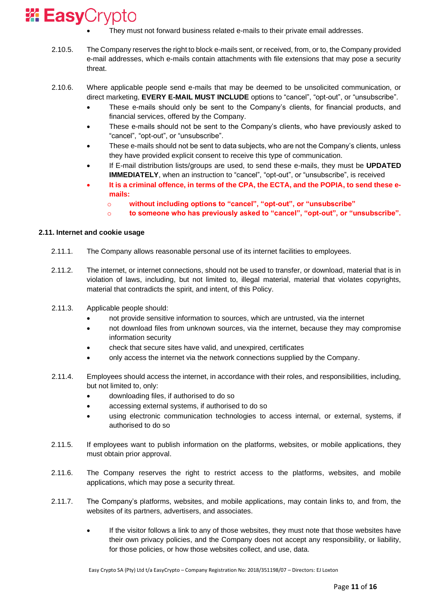- They must not forward business related e-mails to their private email addresses.
- 2.10.5. The Company reserves the right to block e-mails sent, or received, from, or to, the Company provided e-mail addresses, which e-mails contain attachments with file extensions that may pose a security threat.
- 2.10.6. Where applicable people send e-mails that may be deemed to be unsolicited communication, or direct marketing, **EVERY E-MAIL MUST INCLUDE** options to "cancel", "opt-out", or "unsubscribe".
	- These e-mails should only be sent to the Company's clients, for financial products, and financial services, offered by the Company.
	- These e-mails should not be sent to the Company's clients, who have previously asked to "cancel", "opt-out", or "unsubscribe".
	- These e-mails should not be sent to data subjects, who are not the Company's clients, unless they have provided explicit consent to receive this type of communication.
	- If E-mail distribution lists/groups are used, to send these e-mails, they must be **UPDATED IMMEDIATELY**, when an instruction to "cancel", "opt-out", or "unsubscribe", is received
	- **It is a criminal offence, in terms of the CPA, the ECTA, and the POPIA, to send these emails:**
		- o **without including options to "cancel", "opt-out", or "unsubscribe"**
		- o **to someone who has previously asked to "cancel", "opt-out", or "unsubscribe".**

### **2.11. Internet and cookie usage**

- 2.11.1. The Company allows reasonable personal use of its internet facilities to employees.
- 2.11.2. The internet, or internet connections, should not be used to transfer, or download, material that is in violation of laws, including, but not limited to, illegal material, material that violates copyrights, material that contradicts the spirit, and intent, of this Policy.
- 2.11.3. Applicable people should:
	- not provide sensitive information to sources, which are untrusted, via the internet
	- not download files from unknown sources, via the internet, because they may compromise information security
	- check that secure sites have valid, and unexpired, certificates
	- only access the internet via the network connections supplied by the Company.
- 2.11.4. Employees should access the internet, in accordance with their roles, and responsibilities, including, but not limited to, only:
	- downloading files, if authorised to do so
	- accessing external systems, if authorised to do so
	- using electronic communication technologies to access internal, or external, systems, if authorised to do so
- 2.11.5. If employees want to publish information on the platforms, websites, or mobile applications, they must obtain prior approval.
- 2.11.6. The Company reserves the right to restrict access to the platforms, websites, and mobile applications, which may pose a security threat.
- 2.11.7. The Company's platforms, websites, and mobile applications, may contain links to, and from, the websites of its partners, advertisers, and associates.
	- If the visitor follows a link to any of those websites, they must note that those websites have their own privacy policies, and the Company does not accept any responsibility, or liability, for those policies, or how those websites collect, and use, data.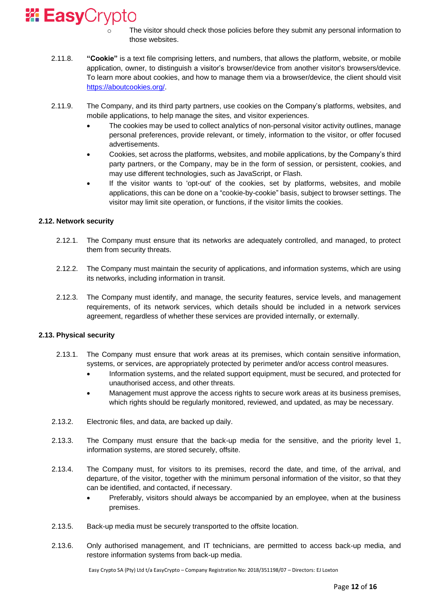

- The visitor should check those policies before they submit any personal information to those websites.
- 2.11.8. **"Cookie"** is a text file comprising letters, and numbers, that allows the platform, website, or mobile application, owner, to distinguish a visitor's browser/device from another visitor's browsers/device. To learn more about cookies, and how to manage them via a browser/device, the client should visit [https://aboutcookies.org/.](https://aboutcookies.org/)
- 2.11.9. The Company, and its third party partners, use cookies on the Company's platforms, websites, and mobile applications, to help manage the sites, and visitor experiences.
	- The cookies may be used to collect analytics of non-personal visitor activity outlines, manage personal preferences, provide relevant, or timely, information to the visitor, or offer focused advertisements.
	- Cookies, set across the platforms, websites, and mobile applications, by the Company's third party partners, or the Company, may be in the form of session, or persistent, cookies, and may use different technologies, such as JavaScript, or Flash.
	- If the visitor wants to 'opt-out' of the cookies, set by platforms, websites, and mobile applications, this can be done on a "cookie-by-cookie" basis, subject to browser settings. The visitor may limit site operation, or functions, if the visitor limits the cookies.

### **2.12. Network security**

- 2.12.1. The Company must ensure that its networks are adequately controlled, and managed, to protect them from security threats.
- 2.12.2. The Company must maintain the security of applications, and information systems, which are using its networks, including information in transit.
- 2.12.3. The Company must identify, and manage, the security features, service levels, and management requirements, of its network services, which details should be included in a network services agreement, regardless of whether these services are provided internally, or externally.

### **2.13. Physical security**

- 2.13.1. The Company must ensure that work areas at its premises, which contain sensitive information, systems, or services, are appropriately protected by perimeter and/or access control measures.
	- Information systems, and the related support equipment, must be secured, and protected for unauthorised access, and other threats.
	- Management must approve the access rights to secure work areas at its business premises, which rights should be regularly monitored, reviewed, and updated, as may be necessary.
- 2.13.2. Electronic files, and data, are backed up daily.
- 2.13.3. The Company must ensure that the back-up media for the sensitive, and the priority level 1, information systems, are stored securely, offsite.
- 2.13.4. The Company must, for visitors to its premises, record the date, and time, of the arrival, and departure, of the visitor, together with the minimum personal information of the visitor, so that they can be identified, and contacted, if necessary.
	- Preferably, visitors should always be accompanied by an employee, when at the business premises.
- 2.13.5. Back-up media must be securely transported to the offsite location.
- 2.13.6. Only authorised management, and IT technicians, are permitted to access back-up media, and restore information systems from back-up media.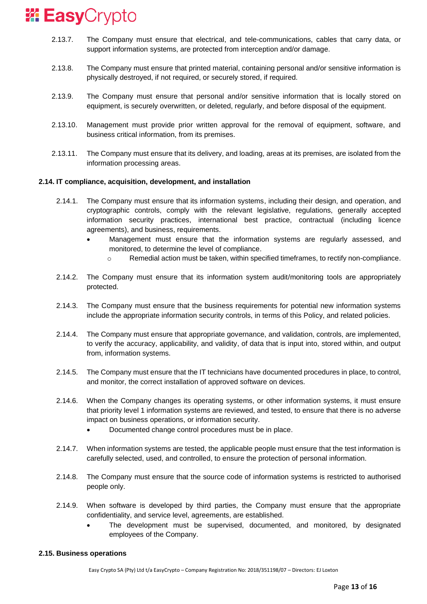- 2.13.7. The Company must ensure that electrical, and tele-communications, cables that carry data, or support information systems, are protected from interception and/or damage.
- 2.13.8. The Company must ensure that printed material, containing personal and/or sensitive information is physically destroyed, if not required, or securely stored, if required.
- 2.13.9. The Company must ensure that personal and/or sensitive information that is locally stored on equipment, is securely overwritten, or deleted, regularly, and before disposal of the equipment.
- 2.13.10. Management must provide prior written approval for the removal of equipment, software, and business critical information, from its premises.
- 2.13.11. The Company must ensure that its delivery, and loading, areas at its premises, are isolated from the information processing areas.

### **2.14. IT compliance, acquisition, development, and installation**

- 2.14.1. The Company must ensure that its information systems, including their design, and operation, and cryptographic controls, comply with the relevant legislative, regulations, generally accepted information security practices, international best practice, contractual (including licence agreements), and business, requirements.
	- Management must ensure that the information systems are regularly assessed, and monitored, to determine the level of compliance.
		- $\circ$  Remedial action must be taken, within specified timeframes, to rectify non-compliance.
- 2.14.2. The Company must ensure that its information system audit/monitoring tools are appropriately protected.
- 2.14.3. The Company must ensure that the business requirements for potential new information systems include the appropriate information security controls, in terms of this Policy, and related policies.
- 2.14.4. The Company must ensure that appropriate governance, and validation, controls, are implemented, to verify the accuracy, applicability, and validity, of data that is input into, stored within, and output from, information systems.
- 2.14.5. The Company must ensure that the IT technicians have documented procedures in place, to control, and monitor, the correct installation of approved software on devices.
- 2.14.6. When the Company changes its operating systems, or other information systems, it must ensure that priority level 1 information systems are reviewed, and tested, to ensure that there is no adverse impact on business operations, or information security.
	- Documented change control procedures must be in place.
- 2.14.7. When information systems are tested, the applicable people must ensure that the test information is carefully selected, used, and controlled, to ensure the protection of personal information.
- 2.14.8. The Company must ensure that the source code of information systems is restricted to authorised people only.
- 2.14.9. When software is developed by third parties, the Company must ensure that the appropriate confidentiality, and service level, agreements, are established.
	- The development must be supervised, documented, and monitored, by designated employees of the Company.

#### **2.15. Business operations**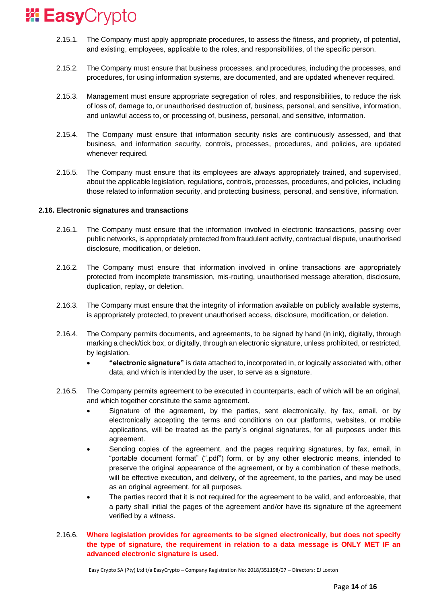- 2.15.1. The Company must apply appropriate procedures, to assess the fitness, and propriety, of potential, and existing, employees, applicable to the roles, and responsibilities, of the specific person.
- 2.15.2. The Company must ensure that business processes, and procedures, including the processes, and procedures, for using information systems, are documented, and are updated whenever required.
- 2.15.3. Management must ensure appropriate segregation of roles, and responsibilities, to reduce the risk of loss of, damage to, or unauthorised destruction of, business, personal, and sensitive, information, and unlawful access to, or processing of, business, personal, and sensitive, information.
- 2.15.4. The Company must ensure that information security risks are continuously assessed, and that business, and information security, controls, processes, procedures, and policies, are updated whenever required.
- 2.15.5. The Company must ensure that its employees are always appropriately trained, and supervised, about the applicable legislation, regulations, controls, processes, procedures, and policies, including those related to information security, and protecting business, personal, and sensitive, information.

#### **2.16. Electronic signatures and transactions**

- 2.16.1. The Company must ensure that the information involved in electronic transactions, passing over public networks, is appropriately protected from fraudulent activity, contractual dispute, unauthorised disclosure, modification, or deletion.
- 2.16.2. The Company must ensure that information involved in online transactions are appropriately protected from incomplete transmission, mis-routing, unauthorised message alteration, disclosure, duplication, replay, or deletion.
- 2.16.3. The Company must ensure that the integrity of information available on publicly available systems, is appropriately protected, to prevent unauthorised access, disclosure, modification, or deletion.
- 2.16.4. The Company permits documents, and agreements, to be signed by hand (in ink), digitally, through marking a check/tick box, or digitally, through an electronic signature, unless prohibited, or restricted, by legislation.
	- **"electronic signature"** is data attached to, incorporated in, or logically associated with, other data, and which is intended by the user, to serve as a signature.
- 2.16.5. The Company permits agreement to be executed in counterparts, each of which will be an original, and which together constitute the same agreement.
	- Signature of the agreement, by the parties, sent electronically, by fax, email, or by electronically accepting the terms and conditions on our platforms, websites, or mobile applications, will be treated as the party`s original signatures, for all purposes under this agreement.
	- Sending copies of the agreement, and the pages requiring signatures, by fax, email, in "portable document format" (".pdf") form, or by any other electronic means, intended to preserve the original appearance of the agreement, or by a combination of these methods, will be effective execution, and delivery, of the agreement, to the parties, and may be used as an original agreement, for all purposes.
	- The parties record that it is not required for the agreement to be valid, and enforceable, that a party shall initial the pages of the agreement and/or have its signature of the agreement verified by a witness.
- 2.16.6. **Where legislation provides for agreements to be signed electronically, but does not specify the type of signature, the requirement in relation to a data message is ONLY MET IF an advanced electronic signature is used.**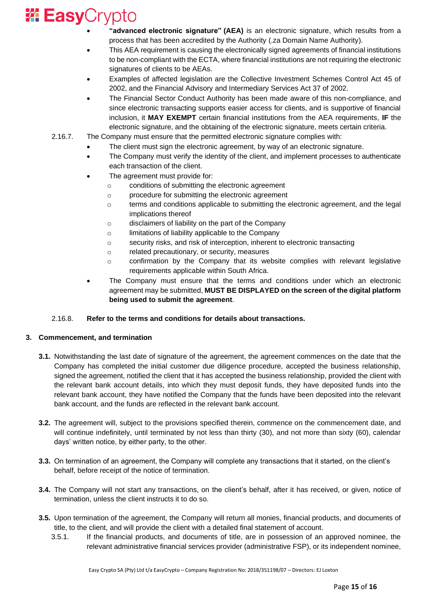# **Easy**Crypto

- **"advanced electronic signature" (AEA)** is an electronic signature, which results from a process that has been accredited by the Authority (.za Domain Name Authority).
- This AEA requirement is causing the electronically signed agreements of financial institutions to be non-compliant with the ECTA, where financial institutions are not requiring the electronic signatures of clients to be AEAs.
- Examples of affected legislation are the Collective Investment Schemes Control Act 45 of 2002, and the Financial Advisory and Intermediary Services Act 37 of 2002.
- The Financial Sector Conduct Authority has been made aware of this non-compliance, and since electronic transacting supports easier access for clients, and is supportive of financial inclusion, it **MAY EXEMPT** certain financial institutions from the AEA requirements, **IF** the electronic signature, and the obtaining of the electronic signature, meets certain criteria.
- 2.16.7. The Company must ensure that the permitted electronic signature complies with:
	- The client must sign the electronic agreement, by way of an electronic signature.
	- The Company must verify the identity of the client, and implement processes to authenticate each transaction of the client.
	- The agreement must provide for:
		- o conditions of submitting the electronic agreement
		- o procedure for submitting the electronic agreement
		- o terms and conditions applicable to submitting the electronic agreement, and the legal implications thereof
		- o disclaimers of liability on the part of the Company
		- o limitations of liability applicable to the Company
		- o security risks, and risk of interception, inherent to electronic transacting
		- o related precautionary, or security, measures
		- $\circ$  confirmation by the Company that its website complies with relevant legislative requirements applicable within South Africa.
	- The Company must ensure that the terms and conditions under which an electronic agreement may be submitted, **MUST BE DISPLAYED on the screen of the digital platform being used to submit the agreement**.

### 2.16.8. **Refer to the terms and conditions for details about transactions.**

### **3. Commencement, and termination**

- **3.1.** Notwithstanding the last date of signature of the agreement, the agreement commences on the date that the Company has completed the initial customer due diligence procedure, accepted the business relationship, signed the agreement, notified the client that it has accepted the business relationship, provided the client with the relevant bank account details, into which they must deposit funds, they have deposited funds into the relevant bank account, they have notified the Company that the funds have been deposited into the relevant bank account, and the funds are reflected in the relevant bank account.
- **3.2.** The agreement will, subject to the provisions specified therein, commence on the commencement date, and will continue indefinitely, until terminated by not less than thirty (30), and not more than sixty (60), calendar days' written notice, by either party, to the other.
- **3.3.** On termination of an agreement, the Company will complete any transactions that it started, on the client's behalf, before receipt of the notice of termination.
- **3.4.** The Company will not start any transactions, on the client's behalf, after it has received, or given, notice of termination, unless the client instructs it to do so.
- **3.5.** Upon termination of the agreement, the Company will return all monies, financial products, and documents of title, to the client, and will provide the client with a detailed final statement of account.
	- 3.5.1. If the financial products, and documents of title, are in possession of an approved nominee, the relevant administrative financial services provider (administrative FSP), or its independent nominee,